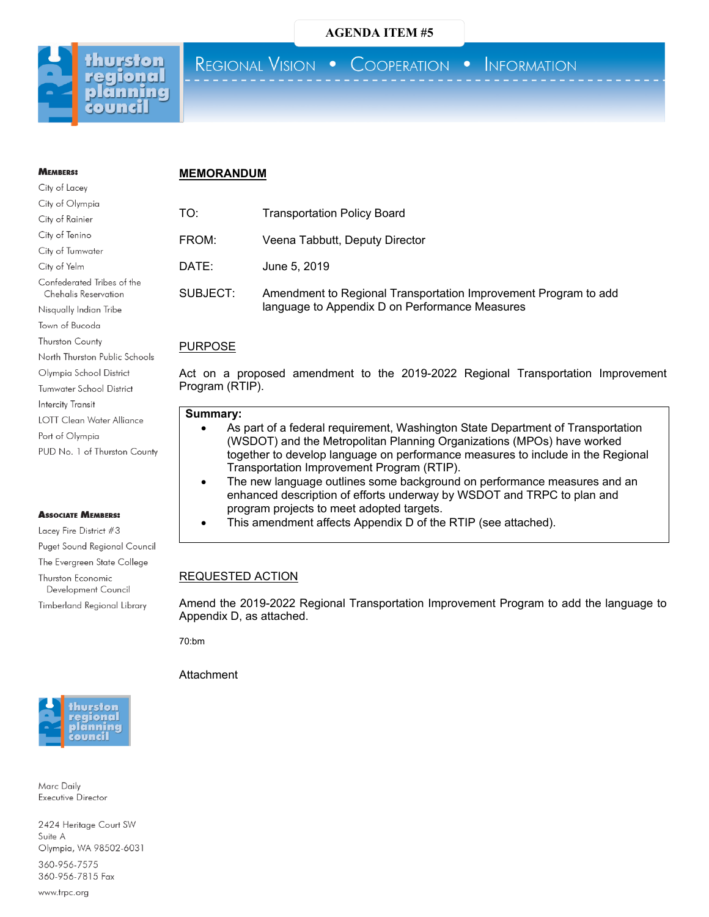

**MEMBERS:** City of Lacey

## **AGENDA ITEM #5**

REGIONAL VISION . COOPERATION . INFORMATION

#### **MEMORANDUM**

| City of Olympia                 | Г(  |
|---------------------------------|-----|
| City of Rainier                 |     |
| City of Tenino                  | FI  |
| City of Tumwater                |     |
| City of Yelm                    | .). |
| Confederated Tribes of the      |     |
| Chehalis Reservation            | S١  |
| Nisqually Indian Tribe          |     |
| Town of Bucoda                  |     |
| <b>Thurston County</b>          |     |
| North Thurston Public Schools   |     |
| Olympia School District         | A   |
| <b>Tumwater School District</b> | Pı  |
| Intercity Transit               |     |
| LOTT Clean Water Alliance       |     |
| Port of Olympia                 |     |
| PUD No. 1 of Thurston County    |     |
|                                 |     |

#### **ASSOCIATE MEMBERS:**

Lacey Fire District #3 Puget Sound Regional Council The Evergreen State College Thurston Economic Development Council Timberland Regional Library



Marc Daily Executive Director

2424 Heritage Court SW Suite A Olympia, WA 98502-6031

360-956-7575 360-956-7815 Fax

www.trpc.org

# O: Transportation Policy Board ROM: Veena Tabbutt, Deputy Director ATE: June 5, 2019 UBJECT: Amendment to Regional Transportation Improvement Program to add language to Appendix D on Performance Measures

# URPOSE

ct on a proposed amendment to the 2019-2022 Regional Transportation Improvement rogram (RTIP).

#### **Summary:**

- As part of a federal requirement, Washington State Department of Transportation (WSDOT) and the Metropolitan Planning Organizations (MPOs) have worked together to develop language on performance measures to include in the Regional Transportation Improvement Program (RTIP).
- The new language outlines some background on performance measures and an enhanced description of efforts underway by WSDOT and TRPC to plan and program projects to meet adopted targets.
- This amendment affects Appendix D of the RTIP (see attached).

#### REQUESTED ACTION

Amend the 2019-2022 Regional Transportation Improvement Program to add the language to Appendix D, as attached.

70:bm

**Attachment**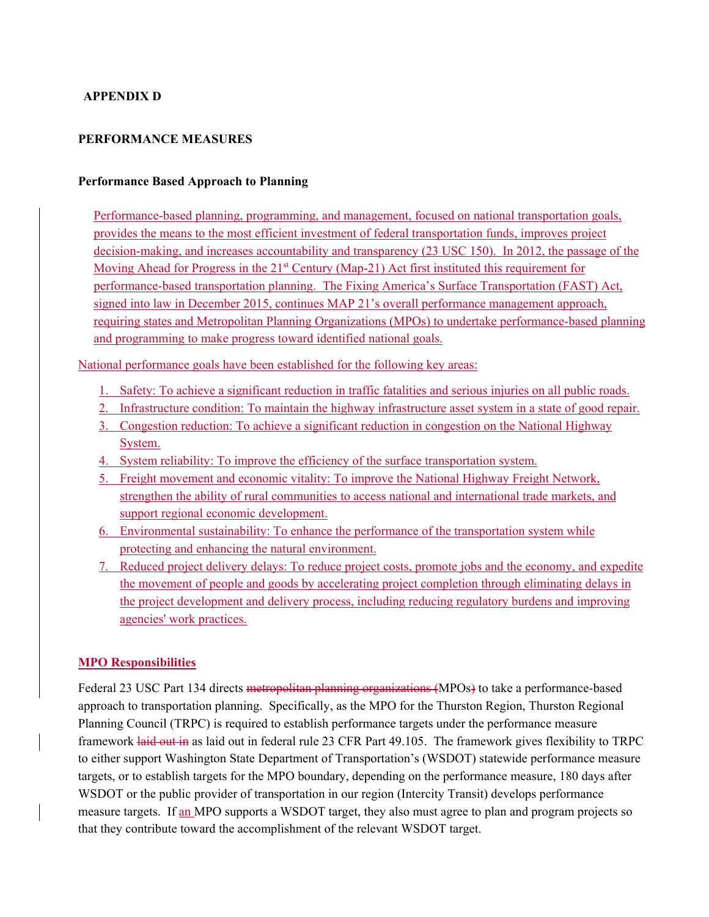# **APPENDIX D**

## **PERFORMANCE MEASURES**

#### **Performance Based Approach to Planning**

Performance-based planning, programming, and management, focused on national transportation goals, provides the means to the most efficient investment of federal transportation funds, improves project decision-making, and increases accountability and transparency (23 USC 150). In 2012, the passage of the Moving Ahead for Progress in the 21<sup>st</sup> Century (Map-21) Act first instituted this requirement for performance-based transportation planning. The Fixing America's Surface Transportation (FAST) Act, signed into law in December 2015, continues MAP 21's overall performance management approach, requiring states and Metropolitan Planning Organizations (MPOs) to undertake performance-based planning and programming to make progress toward identified national goals.

National performance goals have been established for the following key areas:

- 1. Safety: To achieve a significant reduction in traffic fatalities and serious injuries on all public roads.
- 2. Infrastructure condition: To maintain the highway infrastructure asset system in a state of good repair.
- 3. Congestion reduction: To achieve a significant reduction in congestion on the National Highway System.
- 4. System reliability: To improve the efficiency of the surface transportation system.
- 5. Freight movement and economic vitality: To improve the National Highway Freight Network, strengthen the ability of rural communities to access national and international trade markets, and support regional economic development.
- 6. Environmental sustainability: To enhance the performance of the transportation system while protecting and enhancing the natural environment.
- 7. Reduced project delivery delays: To reduce project costs, promote jobs and the economy, and expedite the movement of people and goods by accelerating project completion through eliminating delays in the project development and delivery process, including reducing regulatory burdens and improving agencies' work practices.

## **MPO Responsibilities**

Federal 23 USC Part 134 directs metropolitan planning organizations (MPOs) to take a performance-based approach to transportation planning. Specifically, as the MPO for the Thurston Region, Thurston Regional Planning Council (TRPC) is required to establish performance targets under the performance measure framework laid out in as laid out in federal rule 23 CFR Part 49.105. The framework gives flexibility to TRPC to either support Washington State Department of Transportation's (WSDOT) statewide performance measure targets, or to establish targets for the MPO boundary, depending on the performance measure, 180 days after WSDOT or the public provider of transportation in our region (Intercity Transit) develops performance measure targets. If an MPO supports a WSDOT target, they also must agree to plan and program projects so that they contribute toward the accomplishment of the relevant WSDOT target.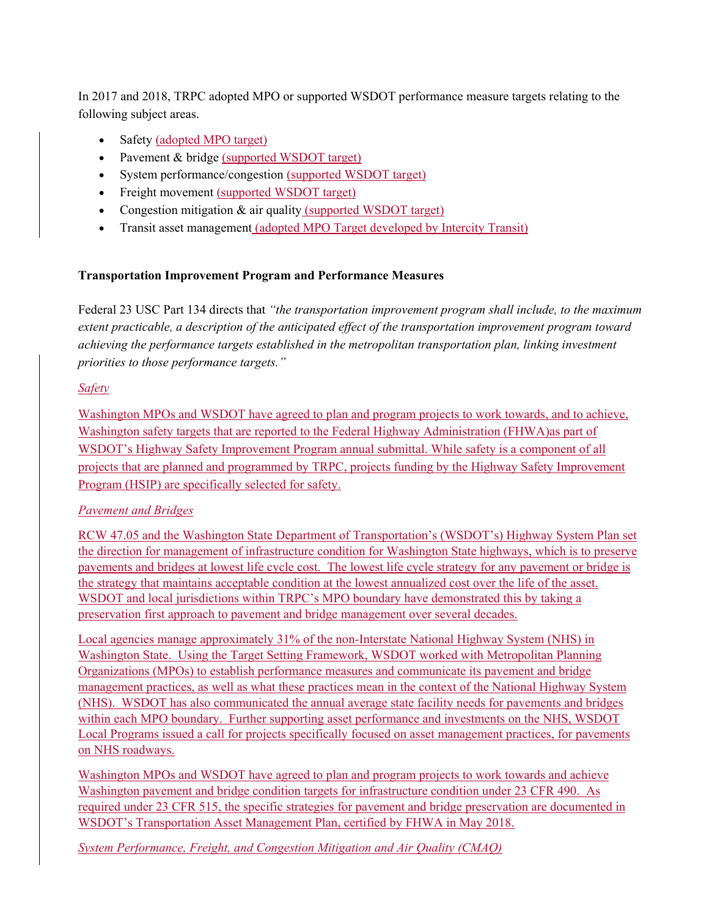In 2017 and 2018, TRPC adopted MPO or supported WSDOT performance measure targets relating to the following subject areas.

- Safety (adopted MPO target)
- Pavement & bridge (supported WSDOT target)
- System performance/congestion (supported WSDOT target)
- Freight movement (supported WSDOT target)
- Congestion mitigation & air quality (supported WSDOT target)
- Transit asset management (adopted MPO Target developed by Intercity Transit)

# **Transportation Improvement Program and Performance Measures**

Federal 23 USC Part 134 directs that *"the transportation improvement program shall include, to the maximum extent practicable, a description of the anticipated effect of the transportation improvement program toward achieving the performance targets established in the metropolitan transportation plan, linking investment priorities to those performance targets."*

# *Safety*

Washington MPOs and WSDOT have agreed to plan and program projects to work towards, and to achieve, Washington safety targets that are reported to the Federal Highway Administration (FHWA)as part of WSDOT's Highway Safety Improvement Program annual submittal. While safety is a component of all projects that are planned and programmed by TRPC, projects funding by the Highway Safety Improvement Program (HSIP) are specifically selected for safety.

# *Pavement and Bridges*

RCW 47.05 and the Washington State Department of Transportation's (WSDOT's) Highway System Plan set the direction for management of infrastructure condition for Washington State highways, which is to preserve pavements and bridges at lowest life cycle cost. The lowest life cycle strategy for any pavement or bridge is the strategy that maintains acceptable condition at the lowest annualized cost over the life of the asset. WSDOT and local jurisdictions within TRPC's MPO boundary have demonstrated this by taking a preservation first approach to pavement and bridge management over several decades.

Local agencies manage approximately 31% of the non-Interstate National Highway System (NHS) in Washington State. Using the Target Setting Framework, WSDOT worked with Metropolitan Planning Organizations (MPOs) to establish performance measures and communicate its pavement and bridge management practices, as well as what these practices mean in the context of the National Highway System (NHS). WSDOT has also communicated the annual average state facility needs for pavements and bridges within each MPO boundary. Further supporting asset performance and investments on the NHS, WSDOT Local Programs issued a call for projects specifically focused on asset management practices, for pavements on NHS roadways.

Washington MPOs and WSDOT have agreed to plan and program projects to work towards and achieve Washington pavement and bridge condition targets for infrastructure condition under 23 CFR 490. As required under 23 CFR 515, the specific strategies for pavement and bridge preservation are documented in WSDOT's Transportation Asset Management Plan, certified by FHWA in May 2018.

*System Performance, Freight, and Congestion Mitigation and Air Quality (CMAQ)*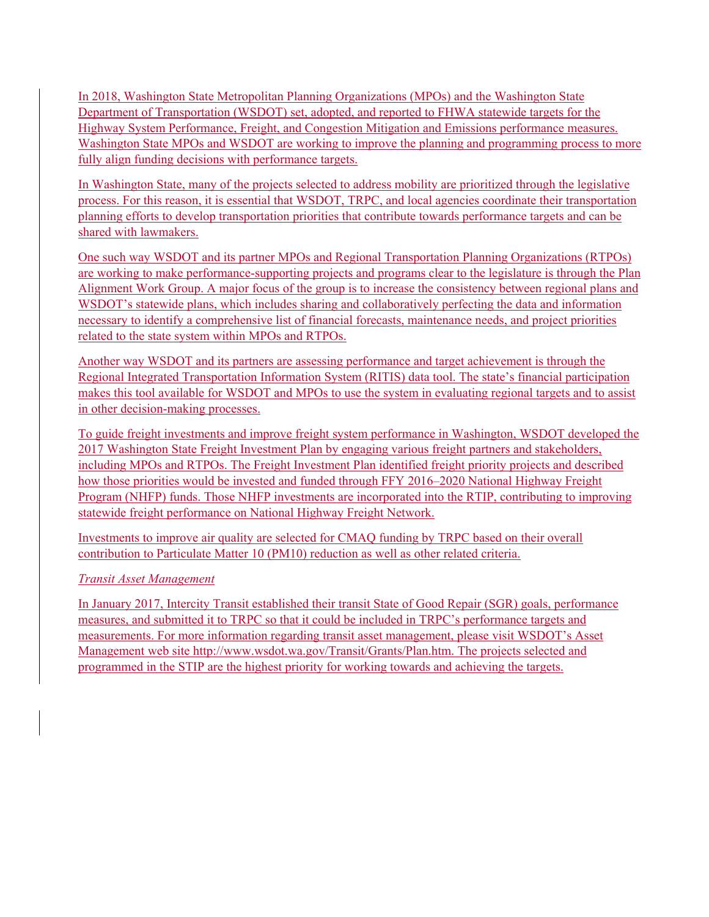In 2018, Washington State Metropolitan Planning Organizations (MPOs) and the Washington State Department of Transportation (WSDOT) set, adopted, and reported to FHWA statewide targets for the Highway System Performance, Freight, and Congestion Mitigation and Emissions performance measures. Washington State MPOs and WSDOT are working to improve the planning and programming process to more fully align funding decisions with performance targets.

In Washington State, many of the projects selected to address mobility are prioritized through the legislative process. For this reason, it is essential that WSDOT, TRPC, and local agencies coordinate their transportation planning efforts to develop transportation priorities that contribute towards performance targets and can be shared with lawmakers.

One such way WSDOT and its partner MPOs and Regional Transportation Planning Organizations (RTPOs) are working to make performance-supporting projects and programs clear to the legislature is through the Plan Alignment Work Group. A major focus of the group is to increase the consistency between regional plans and WSDOT's statewide plans, which includes sharing and collaboratively perfecting the data and information necessary to identify a comprehensive list of financial forecasts, maintenance needs, and project priorities related to the state system within MPOs and RTPOs.

Another way WSDOT and its partners are assessing performance and target achievement is through the Regional Integrated Transportation Information System (RITIS) data tool. The state's financial participation makes this tool available for WSDOT and MPOs to use the system in evaluating regional targets and to assist in other decision-making processes.

To guide freight investments and improve freight system performance in Washington, WSDOT developed the 2017 Washington State Freight Investment Plan by engaging various freight partners and stakeholders, including MPOs and RTPOs. The Freight Investment Plan identified freight priority projects and described how those priorities would be invested and funded through FFY 2016–2020 National Highway Freight Program (NHFP) funds. Those NHFP investments are incorporated into the RTIP, contributing to improving statewide freight performance on National Highway Freight Network.

Investments to improve air quality are selected for CMAQ funding by TRPC based on their overall contribution to Particulate Matter 10 (PM10) reduction as well as other related criteria.

# *Transit Asset Management*

In January 2017, Intercity Transit established their transit State of Good Repair (SGR) goals, performance measures, and submitted it to TRPC so that it could be included in TRPC's performance targets and measurements. For more information regarding transit asset management, please visit WSDOT's Asset Management web site http://www.wsdot.wa.gov/Transit/Grants/Plan.htm. The projects selected and programmed in the STIP are the highest priority for working towards and achieving the targets.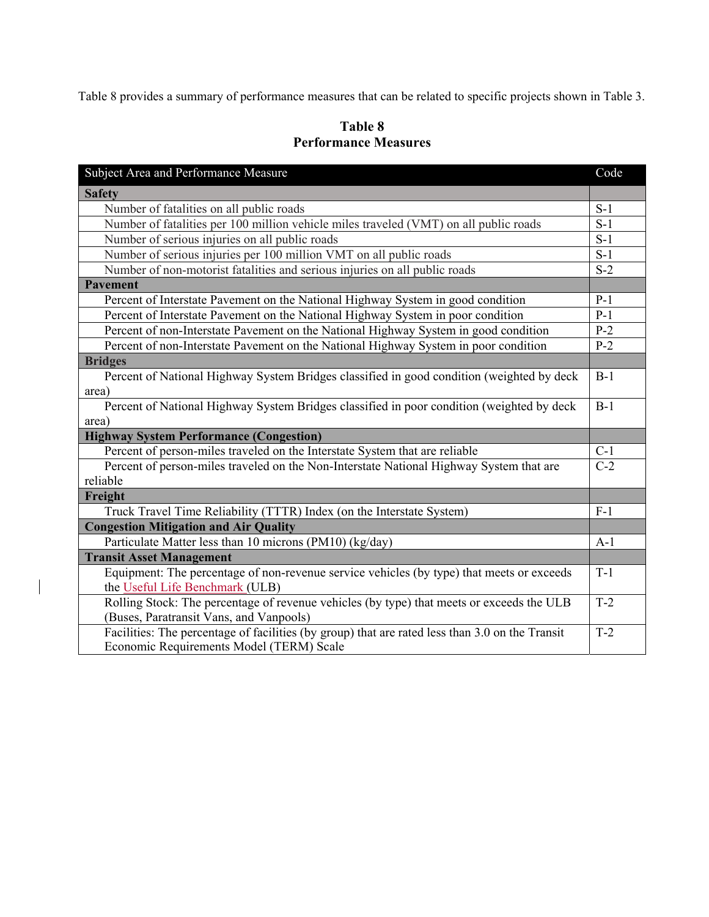Table 8 provides a summary of performance measures that can be related to specific projects shown in Table 3.

# **Table 8 Performance Measures**

| Subject Area and Performance Measure                                                            |       |  |  |  |
|-------------------------------------------------------------------------------------------------|-------|--|--|--|
| <b>Safety</b>                                                                                   |       |  |  |  |
| Number of fatalities on all public roads                                                        | $S-1$ |  |  |  |
| Number of fatalities per 100 million vehicle miles traveled (VMT) on all public roads           | $S-1$ |  |  |  |
| Number of serious injuries on all public roads                                                  | $S-1$ |  |  |  |
| Number of serious injuries per 100 million VMT on all public roads                              | $S-1$ |  |  |  |
| Number of non-motorist fatalities and serious injuries on all public roads                      | $S-2$ |  |  |  |
| <b>Pavement</b>                                                                                 |       |  |  |  |
| Percent of Interstate Pavement on the National Highway System in good condition                 | $P-1$ |  |  |  |
| Percent of Interstate Pavement on the National Highway System in poor condition                 | $P-1$ |  |  |  |
| Percent of non-Interstate Pavement on the National Highway System in good condition             | $P-2$ |  |  |  |
| Percent of non-Interstate Pavement on the National Highway System in poor condition             | $P-2$ |  |  |  |
| <b>Bridges</b>                                                                                  |       |  |  |  |
| Percent of National Highway System Bridges classified in good condition (weighted by deck       | $B-1$ |  |  |  |
| area)                                                                                           |       |  |  |  |
| Percent of National Highway System Bridges classified in poor condition (weighted by deck       | $B-1$ |  |  |  |
| area)                                                                                           |       |  |  |  |
| <b>Highway System Performance (Congestion)</b>                                                  |       |  |  |  |
| Percent of person-miles traveled on the Interstate System that are reliable                     | $C-1$ |  |  |  |
| Percent of person-miles traveled on the Non-Interstate National Highway System that are         | $C-2$ |  |  |  |
| reliable                                                                                        |       |  |  |  |
| Freight                                                                                         |       |  |  |  |
| Truck Travel Time Reliability (TTTR) Index (on the Interstate System)                           | $F-1$ |  |  |  |
| <b>Congestion Mitigation and Air Quality</b>                                                    |       |  |  |  |
| Particulate Matter less than 10 microns (PM10) (kg/day)                                         | $A-1$ |  |  |  |
| <b>Transit Asset Management</b>                                                                 |       |  |  |  |
| Equipment: The percentage of non-revenue service vehicles (by type) that meets or exceeds       | $T-1$ |  |  |  |
| the Useful Life Benchmark (ULB)                                                                 | $T-2$ |  |  |  |
| Rolling Stock: The percentage of revenue vehicles (by type) that meets or exceeds the ULB       |       |  |  |  |
| (Buses, Paratransit Vans, and Vanpools)                                                         |       |  |  |  |
| Facilities: The percentage of facilities (by group) that are rated less than 3.0 on the Transit | $T-2$ |  |  |  |
| Economic Requirements Model (TERM) Scale                                                        |       |  |  |  |

 $\mathbf{I}$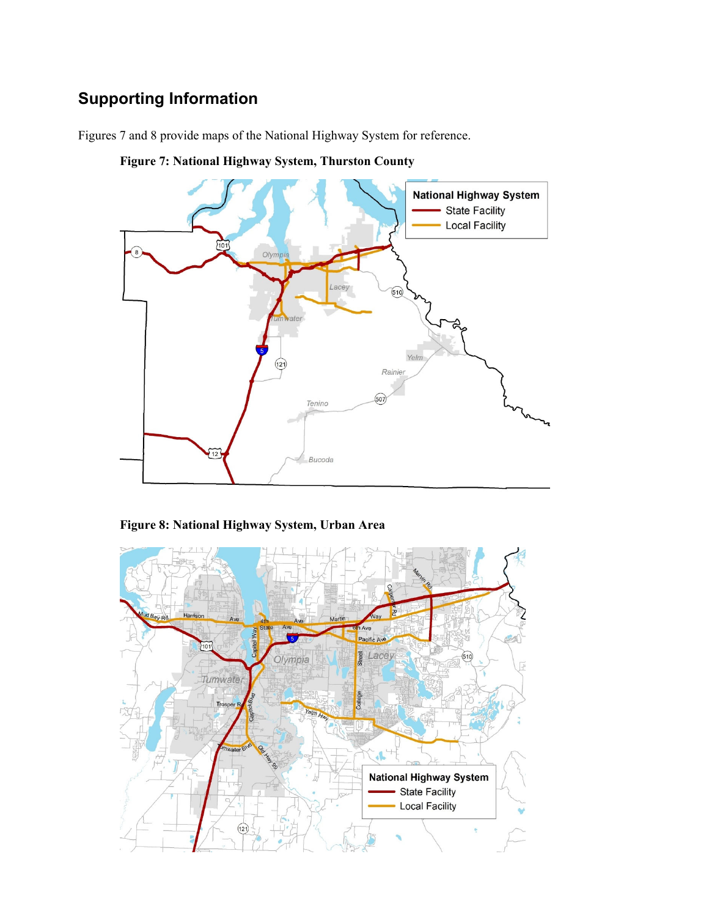# **Supporting Information**

Figures 7 and 8 provide maps of the National Highway System for reference.



**Figure 7: National Highway System, Thurston County** 

# **Figure 8: National Highway System, Urban Area**

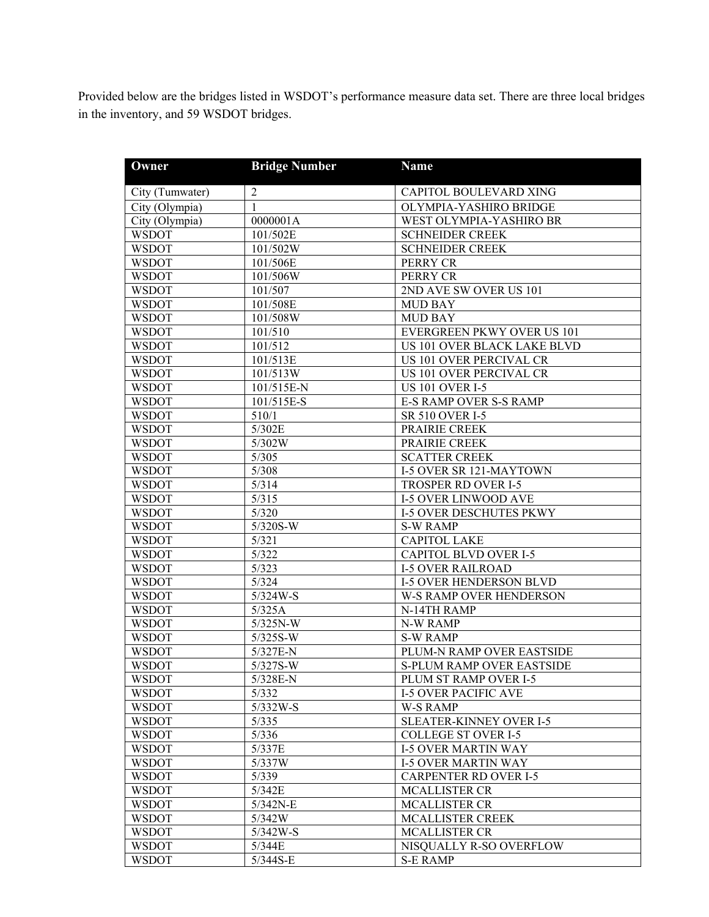Provided below are the bridges listed in WSDOT's performance measure data set. There are three local bridges in the inventory, and 59 WSDOT bridges.

| Owner           | <b>Bridge Number</b> | <b>Name</b>                    |
|-----------------|----------------------|--------------------------------|
| City (Tumwater) | $\overline{2}$       | CAPITOL BOULEVARD XING         |
| City (Olympia)  | 1                    | OLYMPIA-YASHIRO BRIDGE         |
| City (Olympia)  | 0000001A             | WEST OLYMPIA-YASHIRO BR        |
| <b>WSDOT</b>    | 101/502E             | <b>SCHNEIDER CREEK</b>         |
| <b>WSDOT</b>    | 101/502W             | <b>SCHNEIDER CREEK</b>         |
| <b>WSDOT</b>    | 101/506E             | PERRY CR                       |
| <b>WSDOT</b>    | 101/506W             | PERRY CR                       |
| <b>WSDOT</b>    | 101/507              | 2ND AVE SW OVER US 101         |
| <b>WSDOT</b>    | 101/508E             | MUD BAY                        |
| <b>WSDOT</b>    | 101/508W             | <b>MUD BAY</b>                 |
| <b>WSDOT</b>    | 101/510              | EVERGREEN PKWY OVER US 101     |
| <b>WSDOT</b>    | 101/512              | US 101 OVER BLACK LAKE BLVD    |
| <b>WSDOT</b>    | 101/513E             | US 101 OVER PERCIVAL CR        |
| <b>WSDOT</b>    | 101/513W             | US 101 OVER PERCIVAL CR        |
| <b>WSDOT</b>    | 101/515E-N           | <b>US 101 OVER I-5</b>         |
| <b>WSDOT</b>    | 101/515E-S           | <b>E-S RAMP OVER S-S RAMP</b>  |
| <b>WSDOT</b>    | 510/1                | SR 510 OVER I-5                |
| <b>WSDOT</b>    | 5/302E               | PRAIRIE CREEK                  |
| <b>WSDOT</b>    | 5/302W               | PRAIRIE CREEK                  |
| <b>WSDOT</b>    | 5/305                | <b>SCATTER CREEK</b>           |
| <b>WSDOT</b>    | 5/308                | <b>I-5 OVER SR 121-MAYTOWN</b> |
| <b>WSDOT</b>    | 5/314                | TROSPER RD OVER I-5            |
| <b>WSDOT</b>    | 5/315                | <b>I-5 OVER LINWOOD AVE</b>    |
| <b>WSDOT</b>    | 5/320                | <b>I-5 OVER DESCHUTES PKWY</b> |
| <b>WSDOT</b>    | 5/320S-W             | <b>S-W RAMP</b>                |
| <b>WSDOT</b>    | 5/321                | <b>CAPITOL LAKE</b>            |
| <b>WSDOT</b>    | 5/322                | <b>CAPITOL BLVD OVER I-5</b>   |
| <b>WSDOT</b>    | 5/323                | <b>I-5 OVER RAILROAD</b>       |
| <b>WSDOT</b>    | 5/324                | <b>I-5 OVER HENDERSON BLVD</b> |
| <b>WSDOT</b>    | $5/324W-S$           | W-S RAMP OVER HENDERSON        |
| <b>WSDOT</b>    | 5/325A               | N-14TH RAMP                    |
| <b>WSDOT</b>    | $5/325N-W$           | N-W RAMP                       |
| <b>WSDOT</b>    | 5/325S-W             | <b>S-W RAMP</b>                |
| <b>WSDOT</b>    | 5/327E-N             | PLUM-N RAMP OVER EASTSIDE      |
| <b>WSDOT</b>    | 5/327S-W             | S-PLUM RAMP OVER EASTSIDE      |
| <b>WSDOT</b>    | 5/328E-N             | PLUM ST RAMP OVER I-5          |
| <b>WSDOT</b>    | 5/332                | <b>I-5 OVER PACIFIC AVE</b>    |
| <b>WSDOT</b>    | $5/332W-S$           | W-S RAMP                       |
| <b>WSDOT</b>    | 5/335                | <b>SLEATER-KINNEY OVER I-5</b> |
| <b>WSDOT</b>    | 5/336                | <b>COLLEGE ST OVER I-5</b>     |
| <b>WSDOT</b>    | 5/337E               | <b>I-5 OVER MARTIN WAY</b>     |
| <b>WSDOT</b>    | 5/337W               | <b>I-5 OVER MARTIN WAY</b>     |
| <b>WSDOT</b>    | 5/339                | <b>CARPENTER RD OVER I-5</b>   |
| <b>WSDOT</b>    | 5/342E               | <b>MCALLISTER CR</b>           |
| <b>WSDOT</b>    | $5/342N-E$           | <b>MCALLISTER CR</b>           |
| <b>WSDOT</b>    | 5/342W               | MCALLISTER CREEK               |
| <b>WSDOT</b>    | $5/342W-S$           | <b>MCALLISTER CR</b>           |
| <b>WSDOT</b>    | 5/344E               | NISQUALLY R-SO OVERFLOW        |
| <b>WSDOT</b>    | $5/344S-E$           | <b>S-E RAMP</b>                |